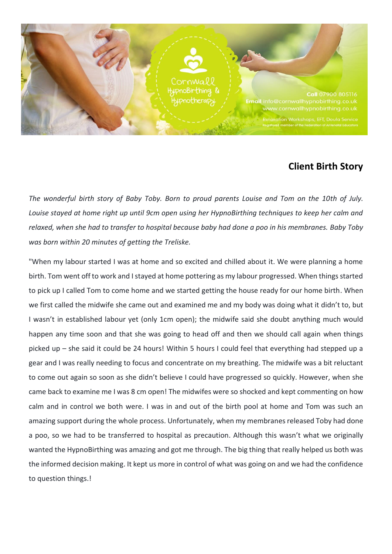

## **Client Birth Story**

*The wonderful birth story of Baby Toby. Born to proud parents Louise and Tom on the 10th of July. Louise stayed at home right up until 9cm open using her HypnoBirthing techniques to keep her calm and relaxed, when she had to transfer to hospital because baby had done a poo in his membranes. Baby Toby was born within 20 minutes of getting the Treliske.*

"When my labour started I was at home and so excited and chilled about it. We were planning a home birth. Tom went off to work and I stayed at home pottering as my labour progressed. When things started to pick up I called Tom to come home and we started getting the house ready for our home birth. When we first called the midwife she came out and examined me and my body was doing what it didn't to, but I wasn't in established labour yet (only 1cm open); the midwife said she doubt anything much would happen any time soon and that she was going to head off and then we should call again when things picked up – she said it could be 24 hours! Within 5 hours I could feel that everything had stepped up a gear and I was really needing to focus and concentrate on my breathing. The midwife was a bit reluctant to come out again so soon as she didn't believe I could have progressed so quickly. However, when she came back to examine me I was 8 cm open! The midwifes were so shocked and kept commenting on how calm and in control we both were. I was in and out of the birth pool at home and Tom was such an amazing support during the whole process. Unfortunately, when my membranes released Toby had done a poo, so we had to be transferred to hospital as precaution. Although this wasn't what we originally wanted the HypnoBirthing was amazing and got me through. The big thing that really helped us both was the informed decision making. It kept us more in control of what was going on and we had the confidence to question things.!